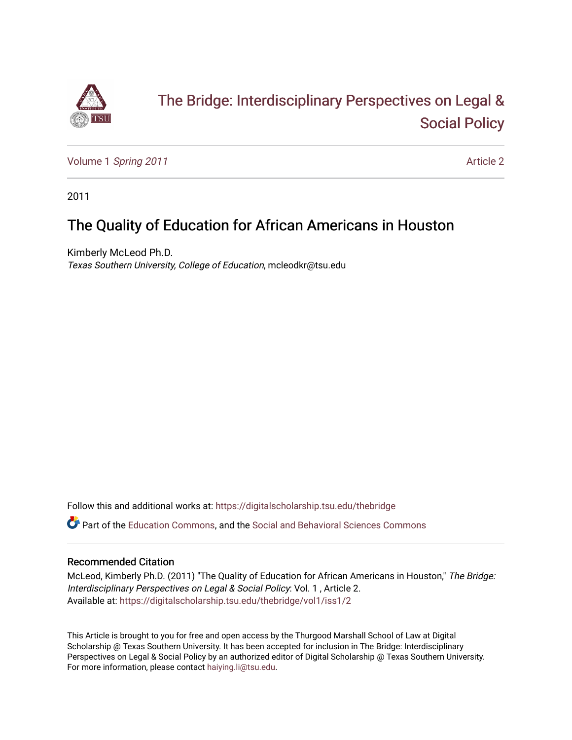

# [The Bridge: Interdisciplinary Perspectives on Legal &](https://digitalscholarship.tsu.edu/thebridge)  [Social Policy](https://digitalscholarship.tsu.edu/thebridge)

Volume 1 [Spring 2011](https://digitalscholarship.tsu.edu/thebridge/vol1) **Article 2** Article 2

2011

# The Quality of Education for African Americans in Houston

Kimberly McLeod Ph.D. Texas Southern University, College of Education, mcleodkr@tsu.edu

Follow this and additional works at: [https://digitalscholarship.tsu.edu/thebridge](https://digitalscholarship.tsu.edu/thebridge?utm_source=digitalscholarship.tsu.edu%2Fthebridge%2Fvol1%2Fiss1%2F2&utm_medium=PDF&utm_campaign=PDFCoverPages) 

Part of the [Education Commons](http://network.bepress.com/hgg/discipline/784?utm_source=digitalscholarship.tsu.edu%2Fthebridge%2Fvol1%2Fiss1%2F2&utm_medium=PDF&utm_campaign=PDFCoverPages), and the [Social and Behavioral Sciences Commons](http://network.bepress.com/hgg/discipline/316?utm_source=digitalscholarship.tsu.edu%2Fthebridge%2Fvol1%2Fiss1%2F2&utm_medium=PDF&utm_campaign=PDFCoverPages) 

# Recommended Citation

McLeod, Kimberly Ph.D. (2011) "The Quality of Education for African Americans in Houston," The Bridge: Interdisciplinary Perspectives on Legal & Social Policy: Vol. 1 , Article 2. Available at: [https://digitalscholarship.tsu.edu/thebridge/vol1/iss1/2](https://digitalscholarship.tsu.edu/thebridge/vol1/iss1/2?utm_source=digitalscholarship.tsu.edu%2Fthebridge%2Fvol1%2Fiss1%2F2&utm_medium=PDF&utm_campaign=PDFCoverPages) 

This Article is brought to you for free and open access by the Thurgood Marshall School of Law at Digital Scholarship @ Texas Southern University. It has been accepted for inclusion in The Bridge: Interdisciplinary Perspectives on Legal & Social Policy by an authorized editor of Digital Scholarship @ Texas Southern University. For more information, please contact [haiying.li@tsu.edu.](mailto:haiying.li@tsu.edu)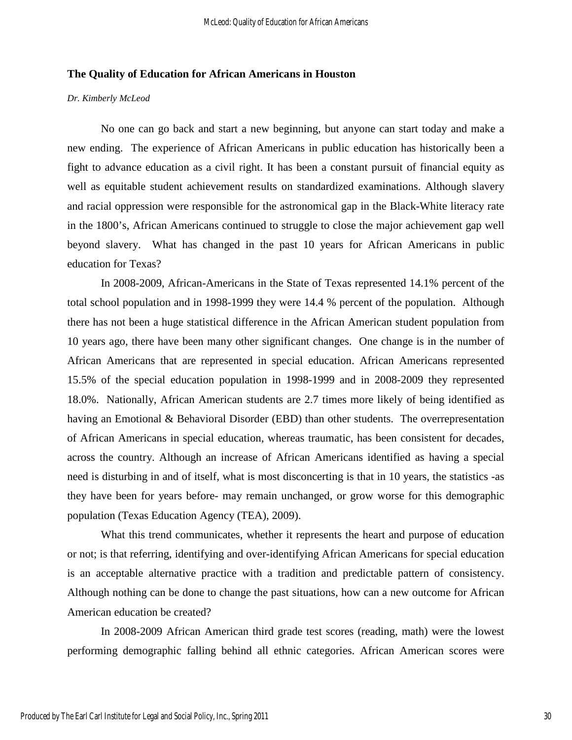# **The Quality of Education for African Americans in Houston**

#### *Dr. Kimberly McLeod*

No one can go back and start a new beginning, but anyone can start today and make a new ending. The experience of African Americans in public education has historically been a fight to advance education as a civil right. It has been a constant pursuit of financial equity as well as equitable student achievement results on standardized examinations. Although slavery and racial oppression were responsible for the astronomical gap in the Black-White literacy rate in the 1800's, African Americans continued to struggle to close the major achievement gap well beyond slavery. What has changed in the past 10 years for African Americans in public education for Texas?

In 2008-2009, African-Americans in the State of Texas represented 14.1% percent of the total school population and in 1998-1999 they were 14.4 % percent of the population. Although there has not been a huge statistical difference in the African American student population from 10 years ago, there have been many other significant changes. One change is in the number of African Americans that are represented in special education. African Americans represented 15.5% of the special education population in 1998-1999 and in 2008-2009 they represented 18.0%. Nationally, African American students are 2.7 times more likely of being identified as having an Emotional & Behavioral Disorder (EBD) than other students. The overrepresentation of African Americans in special education, whereas traumatic, has been consistent for decades, across the country. Although an increase of African Americans identified as having a special need is disturbing in and of itself, what is most disconcerting is that in 10 years, the statistics -as they have been for years before- may remain unchanged, or grow worse for this demographic population (Texas Education Agency (TEA), 2009).

What this trend communicates, whether it represents the heart and purpose of education or not; is that referring, identifying and over-identifying African Americans for special education is an acceptable alternative practice with a tradition and predictable pattern of consistency. Although nothing can be done to change the past situations, how can a new outcome for African American education be created?

In 2008-2009 African American third grade test scores (reading, math) were the lowest performing demographic falling behind all ethnic categories. African American scores were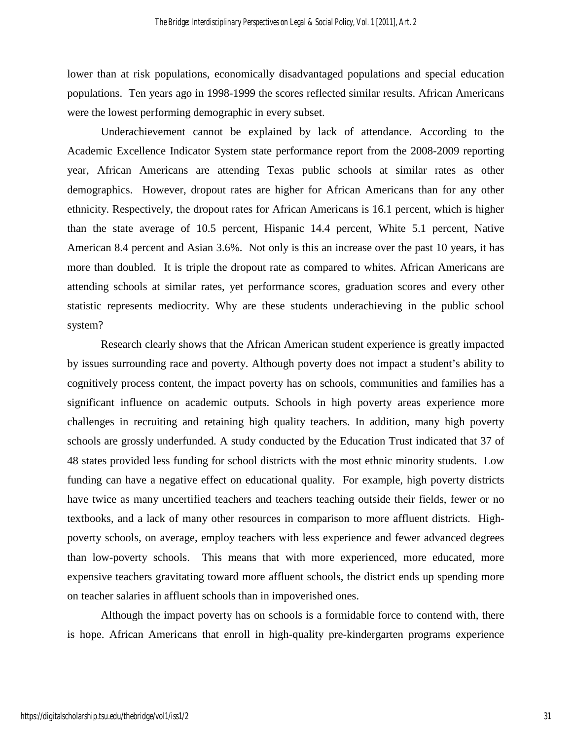lower than at risk populations, economically disadvantaged populations and special education populations. Ten years ago in 1998-1999 the scores reflected similar results. African Americans were the lowest performing demographic in every subset.

Underachievement cannot be explained by lack of attendance. According to the Academic Excellence Indicator System state performance report from the 2008-2009 reporting year, African Americans are attending Texas public schools at similar rates as other demographics. However, dropout rates are higher for African Americans than for any other ethnicity. Respectively, the dropout rates for African Americans is 16.1 percent, which is higher than the state average of 10.5 percent, Hispanic 14.4 percent, White 5.1 percent, Native American 8.4 percent and Asian 3.6%. Not only is this an increase over the past 10 years, it has more than doubled. It is triple the dropout rate as compared to whites. African Americans are attending schools at similar rates, yet performance scores, graduation scores and every other statistic represents mediocrity. Why are these students underachieving in the public school system?

Research clearly shows that the African American student experience is greatly impacted by issues surrounding race and poverty. Although poverty does not impact a student's ability to cognitively process content, the impact poverty has on schools, communities and families has a significant influence on academic outputs. Schools in high poverty areas experience more challenges in recruiting and retaining high quality teachers. In addition, many high poverty schools are grossly underfunded. A study conducted by the Education Trust indicated that 37 of 48 states provided less funding for school districts with the most ethnic minority students. Low funding can have a negative effect on educational quality. For example, high poverty districts have twice as many uncertified teachers and teachers teaching outside their fields, fewer or no textbooks, and a lack of many other resources in comparison to more affluent districts. Highpoverty schools, on average, employ teachers with less experience and fewer advanced degrees than low-poverty schools. This means that with more experienced, more educated, more expensive teachers gravitating toward more affluent schools, the district ends up spending more on teacher salaries in affluent schools than in impoverished ones.

Although the impact poverty has on schools is a formidable force to contend with, there is hope. African Americans that enroll in high-quality pre-kindergarten programs experience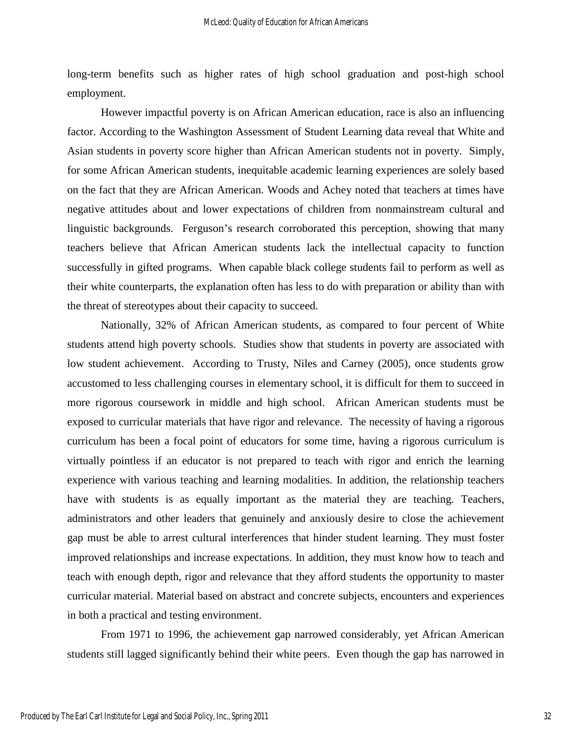long-term benefits such as higher rates of high school graduation and post-high school employment.

However impactful poverty is on African American education, race is also an influencing factor. According to the Washington Assessment of Student Learning data reveal that White and Asian students in poverty score higher than African American students not in poverty. Simply, for some African American students, inequitable academic learning experiences are solely based on the fact that they are African American. Woods and Achey noted that teachers at times have negative attitudes about and lower expectations of children from nonmainstream cultural and linguistic backgrounds. Ferguson's research corroborated this perception, showing that many teachers believe that African American students lack the intellectual capacity to function successfully in gifted programs. When capable black college students fail to perform as well as their white counterparts, the explanation often has less to do with preparation or ability than with the threat of stereotypes about their capacity to succeed.

Nationally, 32% of African American students, as compared to four percent of White students attend high poverty schools. Studies show that students in poverty are associated with low student achievement. According to Trusty, Niles and Carney (2005), once students grow accustomed to less challenging courses in elementary school, it is difficult for them to succeed in more rigorous coursework in middle and high school. African American students must be exposed to curricular materials that have rigor and relevance. The necessity of having a rigorous curriculum has been a focal point of educators for some time, having a rigorous curriculum is virtually pointless if an educator is not prepared to teach with rigor and enrich the learning experience with various teaching and learning modalities. In addition, the relationship teachers have with students is as equally important as the material they are teaching. Teachers, administrators and other leaders that genuinely and anxiously desire to close the achievement gap must be able to arrest cultural interferences that hinder student learning. They must foster improved relationships and increase expectations. In addition, they must know how to teach and teach with enough depth, rigor and relevance that they afford students the opportunity to master curricular material. Material based on abstract and concrete subjects, encounters and experiences in both a practical and testing environment.

From 1971 to 1996, the achievement gap narrowed considerably, yet African American students still lagged significantly behind their white peers. Even though the gap has narrowed in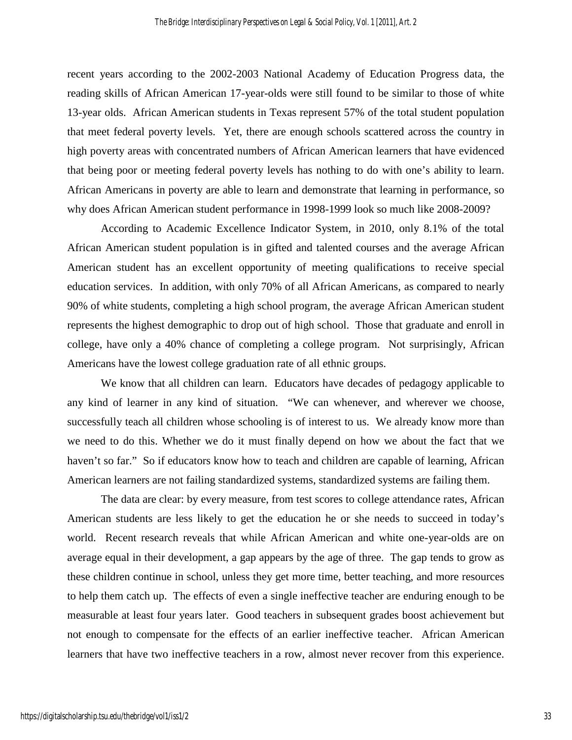recent years according to the 2002-2003 National Academy of Education Progress data, the reading skills of African American 17-year-olds were still found to be similar to those of white 13-year olds. African American students in Texas represent 57% of the total student population that meet federal poverty levels. Yet, there are enough schools scattered across the country in high poverty areas with concentrated numbers of African American learners that have evidenced that being poor or meeting federal poverty levels has nothing to do with one's ability to learn. African Americans in poverty are able to learn and demonstrate that learning in performance, so why does African American student performance in 1998-1999 look so much like 2008-2009?

According to Academic Excellence Indicator System, in 2010, only 8.1% of the total African American student population is in gifted and talented courses and the average African American student has an excellent opportunity of meeting qualifications to receive special education services. In addition, with only 70% of all African Americans, as compared to nearly 90% of white students, completing a high school program, the average African American student represents the highest demographic to drop out of high school. Those that graduate and enroll in college, have only a 40% chance of completing a college program. Not surprisingly, African Americans have the lowest college graduation rate of all ethnic groups.

We know that all children can learn. Educators have decades of pedagogy applicable to any kind of learner in any kind of situation. "We can whenever, and wherever we choose, successfully teach all children whose schooling is of interest to us. We already know more than we need to do this. Whether we do it must finally depend on how we about the fact that we haven't so far." So if educators know how to teach and children are capable of learning, African American learners are not failing standardized systems, standardized systems are failing them.

The data are clear: by every measure, from test scores to college attendance rates, African American students are less likely to get the education he or she needs to succeed in today's world. Recent research reveals that while African American and white one-year-olds are on average equal in their development, a gap appears by the age of three. The gap tends to grow as these children continue in school, unless they get more time, better teaching, and more resources to help them catch up. The effects of even a single ineffective teacher are enduring enough to be measurable at least four years later. Good teachers in subsequent grades boost achievement but not enough to compensate for the effects of an earlier ineffective teacher. African American learners that have two ineffective teachers in a row, almost never recover from this experience.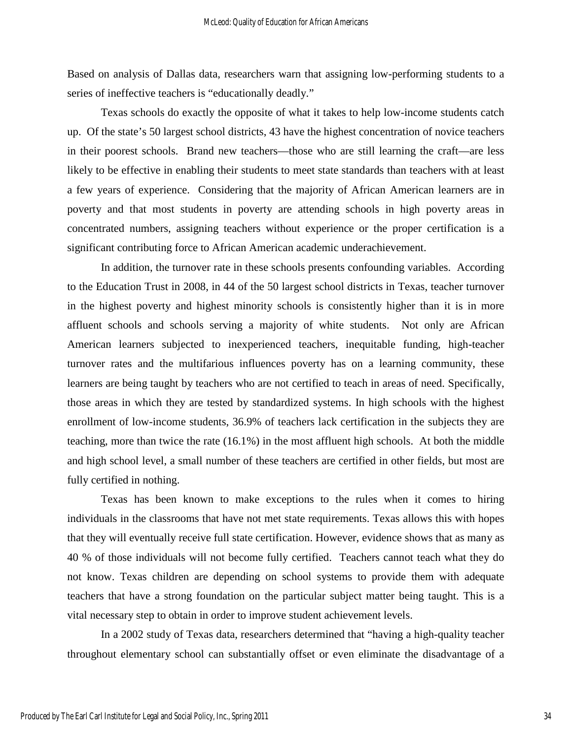Based on analysis of Dallas data, researchers warn that assigning low-performing students to a series of ineffective teachers is "educationally deadly."

Texas schools do exactly the opposite of what it takes to help low-income students catch up. Of the state's 50 largest school districts, 43 have the highest concentration of novice teachers in their poorest schools. Brand new teachers—those who are still learning the craft—are less likely to be effective in enabling their students to meet state standards than teachers with at least a few years of experience. Considering that the majority of African American learners are in poverty and that most students in poverty are attending schools in high poverty areas in concentrated numbers, assigning teachers without experience or the proper certification is a significant contributing force to African American academic underachievement.

In addition, the turnover rate in these schools presents confounding variables. According to the Education Trust in 2008, in 44 of the 50 largest school districts in Texas, teacher turnover in the highest poverty and highest minority schools is consistently higher than it is in more affluent schools and schools serving a majority of white students. Not only are African American learners subjected to inexperienced teachers, inequitable funding, high-teacher turnover rates and the multifarious influences poverty has on a learning community, these learners are being taught by teachers who are not certified to teach in areas of need. Specifically, those areas in which they are tested by standardized systems. In high schools with the highest enrollment of low-income students, 36.9% of teachers lack certification in the subjects they are teaching, more than twice the rate (16.1%) in the most affluent high schools. At both the middle and high school level, a small number of these teachers are certified in other fields, but most are fully certified in nothing.

Texas has been known to make exceptions to the rules when it comes to hiring individuals in the classrooms that have not met state requirements. Texas allows this with hopes that they will eventually receive full state certification. However, evidence shows that as many as 40 % of those individuals will not become fully certified. Teachers cannot teach what they do not know. Texas children are depending on school systems to provide them with adequate teachers that have a strong foundation on the particular subject matter being taught. This is a vital necessary step to obtain in order to improve student achievement levels.

In a 2002 study of Texas data, researchers determined that "having a high-quality teacher throughout elementary school can substantially offset or even eliminate the disadvantage of a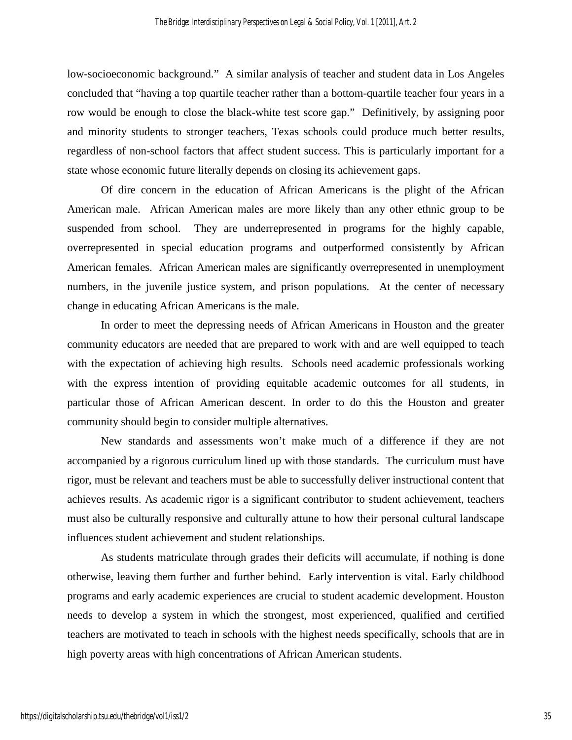low-socioeconomic background." A similar analysis of teacher and student data in Los Angeles concluded that "having a top quartile teacher rather than a bottom-quartile teacher four years in a row would be enough to close the black-white test score gap." Definitively, by assigning poor and minority students to stronger teachers, Texas schools could produce much better results, regardless of non-school factors that affect student success. This is particularly important for a state whose economic future literally depends on closing its achievement gaps.

Of dire concern in the education of African Americans is the plight of the African American male. African American males are more likely than any other ethnic group to be suspended from school. They are underrepresented in programs for the highly capable, overrepresented in special education programs and outperformed consistently by African American females. African American males are significantly overrepresented in unemployment numbers, in the juvenile justice system, and prison populations. At the center of necessary change in educating African Americans is the male.

In order to meet the depressing needs of African Americans in Houston and the greater community educators are needed that are prepared to work with and are well equipped to teach with the expectation of achieving high results. Schools need academic professionals working with the express intention of providing equitable academic outcomes for all students, in particular those of African American descent. In order to do this the Houston and greater community should begin to consider multiple alternatives.

New standards and assessments won't make much of a difference if they are not accompanied by a rigorous curriculum lined up with those standards. The curriculum must have rigor, must be relevant and teachers must be able to successfully deliver instructional content that achieves results. As academic rigor is a significant contributor to student achievement, teachers must also be culturally responsive and culturally attune to how their personal cultural landscape influences student achievement and student relationships.

As students matriculate through grades their deficits will accumulate, if nothing is done otherwise, leaving them further and further behind. Early intervention is vital. Early childhood programs and early academic experiences are crucial to student academic development. Houston needs to develop a system in which the strongest, most experienced, qualified and certified teachers are motivated to teach in schools with the highest needs specifically, schools that are in high poverty areas with high concentrations of African American students.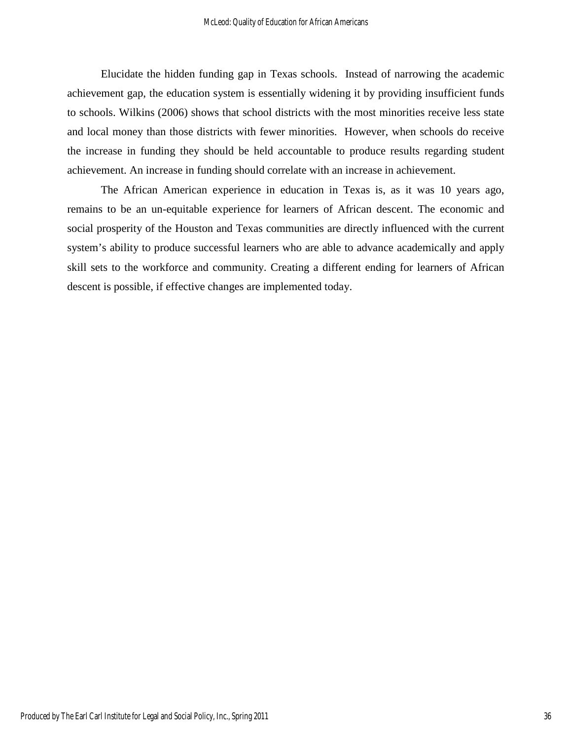Elucidate the hidden funding gap in Texas schools. Instead of narrowing the academic achievement gap, the education system is essentially widening it by providing insufficient funds to schools. Wilkins (2006) shows that school districts with the most minorities receive less state and local money than those districts with fewer minorities. However, when schools do receive the increase in funding they should be held accountable to produce results regarding student achievement. An increase in funding should correlate with an increase in achievement.

The African American experience in education in Texas is, as it was 10 years ago, remains to be an un-equitable experience for learners of African descent. The economic and social prosperity of the Houston and Texas communities are directly influenced with the current system's ability to produce successful learners who are able to advance academically and apply skill sets to the workforce and community. Creating a different ending for learners of African descent is possible, if effective changes are implemented today.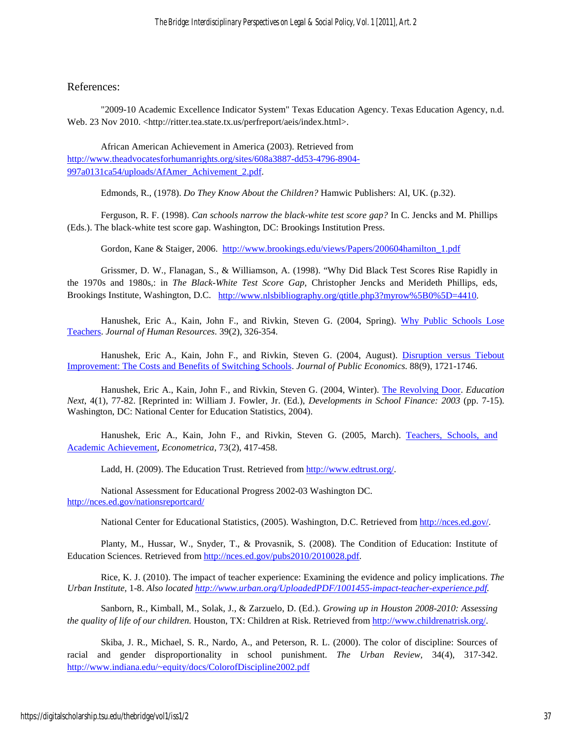### References:

"2009-10 Academic Excellence Indicator System" Texas Education Agency. Texas Education Agency, n.d. Web. 23 Nov 2010. [<http://ritter.tea.state.tx.us/perfreport/aeis/index.html>](http://ritter.tea.state.tx.us/perfreport/aeis/index.html).

African American Achievement in America (2003). Retrieved from [http://www.theadvocatesforhumanrights.org/sites/608a3887-dd53-4796-8904-](http://www.theadvocatesforhumanrights.org/sites/608a3887-dd53-4796-8904-997a0131ca54/uploads/AfAmer_Achivement_2.pdf) [997a0131ca54/uploads/AfAmer\\_Achivement\\_2.pdf.](http://www.theadvocatesforhumanrights.org/sites/608a3887-dd53-4796-8904-997a0131ca54/uploads/AfAmer_Achivement_2.pdf)

Edmonds, R., (1978). *Do They Know About the Children?* Hamwic Publishers: Al, UK. (p.32).

Ferguson, R. F. (1998). *Can schools narrow the black-white test score gap?* In C. Jencks and M. Phillips (Eds.). The black-white test score gap. Washington, DC: Brookings Institution Press.

Gordon, Kane & Staiger, 2006. [http://www.brookings.edu/views/Papers/200604hamilton\\_1.pdf](http://www.brookings.edu/views/Papers/200604hamilton_1.pdf)

Grissmer, D. W., Flanagan, S., & Williamson, A. (1998). "Why Did Black Test Scores Rise Rapidly in the 1970s and 1980s,: in *The Black-White Test Score Gap*, Christopher Jencks and Merideth Phillips, eds, Brookings Institute, Washington, D.C. [http://www.nlsbibliography.org/qtitle.php3?myrow%5B0%5D=4410.](http://www.nlsbibliography.org/qtitle.php3?myrow%5B0%5D=4410)

Hanushek, Eric A., Kain, John F., and Rivkin, Steven G. (2004, Spring). [Why Public Schools Lose](http://edpro.stanford.edu/Hanushek/admin/pages/files/uploads/lose%20teachers.jhr.pdf)  [Teachers.](http://edpro.stanford.edu/Hanushek/admin/pages/files/uploads/lose%20teachers.jhr.pdf) *Journal of Human Resources*. 39(2), 326-354.

Hanushek, Eric A., Kain, John F., and Rivkin, Steven G. (2004, August). Disruption versus Tiebout Improvement: [The Costs and Benefits of Switching Schools.](http://edpro.stanford.edu/Hanushek/admin/pages/files/uploads/tiebout.jpube.pdf) *Journal of Public Economics*. 88(9), 1721-1746.

Hanushek, Eric A., Kain, John F., and Rivkin, Steven G. (2004, Winter). [The Revolving Door.](http://edpro.stanford.edu/Hanushek/admin/pages/files/uploads/revolving%20door.education%20next.pdf) *Education Next*, 4(1), 77-82. [Reprinted in: William J. Fowler, Jr. (Ed.), *Developments in School Finance: 2003* (pp. 7-15). Washington, DC: National Center for Education Statistics, 2004).

Hanushek, Eric A., Kain, John F., and Rivkin, Steven G. (2005, March). [Teachers, Schools, and](http://edpro.stanford.edu/Hanushek/admin/pages/files/uploads/teachers.econometrica.pdf)  [Academic Achievement,](http://edpro.stanford.edu/Hanushek/admin/pages/files/uploads/teachers.econometrica.pdf) *Econometrica*, 73(2), 417-458.

Ladd, H. (2009). The Education Trust. Retrieved from [http://www.edtrust.org/.](http://www.edtrust.org/)

National Assessment for Educational Progress 2002-03 Washington DC. <http://nces.ed.gov/nationsreportcard/>

National Center for Educational Statistics, (2005). Washington, D.C. Retrieved from [http://nces.ed.gov/.](http://nces.ed.gov/)

Planty, M., Hussar, W., Snyder, T., & Provasnik, S. (2008). The Condition of Education: Institute of Education Sciences. Retrieved from [http://nces.ed.gov/pubs2010/2010028.pdf.](http://nces.ed.gov/pubs2010/2010028.pdf)

Rice, K. J. (2010). The impact of teacher experience: Examining the evidence and policy implications. *The Urban Institute,* 1-8. *Also located [http://www.urban.org/UploadedPDF/1001455-impact-teacher-experience.pdf.](http://www.urban.org/UploadedPDF/1001455-impact-teacher-experience.pdf)* 

Sanborn, R., Kimball, M., Solak, J., & Zarzuelo, D. (Ed.). *Growing up in Houston 2008-2010: Assessing the quality of life of our children.* Houston, TX: Children at Risk. Retrieved from [http://www.childrenatrisk.org/.](http://www.childrenatrisk.org/) 

Skiba, J. R., Michael, S. R., Nardo, A., and Peterson, R. L. (2000). The color of discipline: Sources of racial and gender disproportionality in school punishment. *The Urban Review,* 34(4), 317-342. <http://www.indiana.edu/~equity/docs/ColorofDiscipline2002.pdf>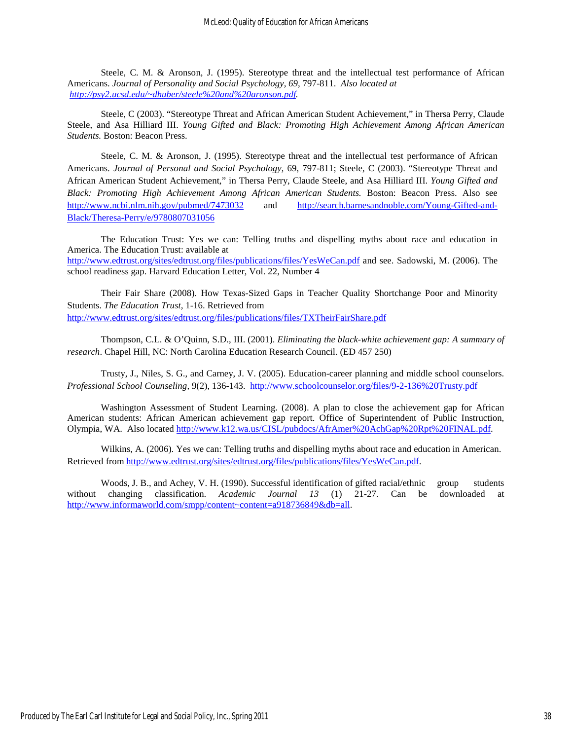Steele, C. M. & Aronson, J. (1995). Stereotype threat and the intellectual test performance of African Americans. *Journal of Personality and Social Psychology, 69,* 797-811. *Also located at [http://psy2.ucsd.edu/~dhuber/steele%20and%20aronson.pdf.](http://psy2.ucsd.edu/~dhuber/steele%20and%20aronson.pdf)*

Steele, C (2003). "Stereotype Threat and African American Student Achievement," in Thersa Perry, Claude Steele, and Asa Hilliard III. *Young Gifted and Black: Promoting High Achievement Among African American Students.* Boston: Beacon Press.

Steele, C. M. & Aronson, J. (1995). Stereotype threat and the intellectual test performance of African Americans. *Journal of Personal and Social Psychology*, 69, 797-811; Steele, C (2003). "Stereotype Threat and African American Student Achievement," in Thersa Perry, Claude Steele, and Asa Hilliard III. *Young Gifted and Black: Promoting High Achievement Among African American Students.* Boston: Beacon Press. Also see <http://www.ncbi.nlm.nih.gov/pubmed/7473032> and [http://search.barnesandnoble.com/Young-Gifted-and-](http://search.barnesandnoble.com/Young-Gifted-and-Black/Theresa-Perry/e/9780807031056)[Black/Theresa-Perry/e/9780807031056](http://search.barnesandnoble.com/Young-Gifted-and-Black/Theresa-Perry/e/9780807031056)

The Education Trust: Yes we can: Telling truths and dispelling myths about race and education in America. The Education Trust: available at <http://www.edtrust.org/sites/edtrust.org/files/publications/files/YesWeCan.pdf> and see. Sadowski, M. (2006). The school readiness gap. Harvard Education Letter, Vol. 22, Number 4

Their Fair Share (2008). How Texas-Sized Gaps in Teacher Quality Shortchange Poor and Minority Students. *The Education Trust,* 1-16. Retrieved from <http://www.edtrust.org/sites/edtrust.org/files/publications/files/TXTheirFairShare.pdf>

Thompson, C.L. & O'Quinn, S.D., III. (2001). *Eliminating the black-white achievement gap: A summary of research*. Chapel Hill, NC: North Carolina Education Research Council. (ED 457 250)

Trusty, J., Niles, S. G., and Carney, J. V. (2005). Education-career planning and middle school counselors. *Professional School Counseling,* 9(2), 136-143. <http://www.schoolcounselor.org/files/9-2-136%20Trusty.pdf>

Washington Assessment of Student Learning. (2008). A plan to close the achievement gap for African American students: African American achievement gap report. Office of Superintendent of Public Instruction, Olympia, WA. Also located [http://www.k12.wa.us/CISL/pubdocs/AfrAmer%20AchGap%20Rpt%20FINAL.pdf.](http://www.k12.wa.us/CISL/pubdocs/AfrAmer%20AchGap%20Rpt%20FINAL.pdf)

Wilkins, A. (2006). Yes we can: Telling truths and dispelling myths about race and education in American. Retrieved from [http://www.edtrust.org/sites/edtrust.org/files/publications/files/YesWeCan.pdf.](http://www.edtrust.org/sites/edtrust.org/files/publications/files/YesWeCan.pdf)

Woods, J. B., and Achey, V. H. (1990). Successful identification of gifted racial/ethnic group students without changing classification. *Academic Journal 13* (1) 21-27. Can be downloaded at [http://www.informaworld.com/smpp/content~content=a918736849&db=all.](http://www.informaworld.com/smpp/content~content=a918736849&db=all)